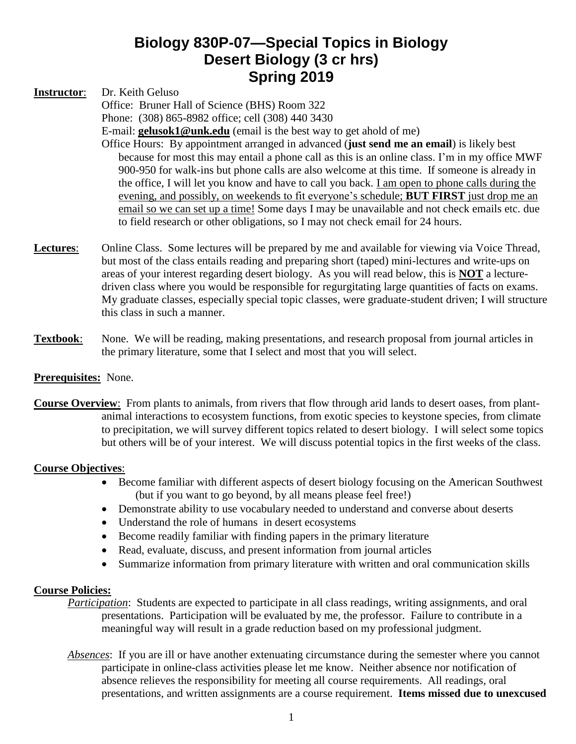# **Biology 830P-07—Special Topics in Biology Desert Biology (3 cr hrs) Spring 2019**

**Instructor**: Dr. Keith Geluso

Office: Bruner Hall of Science (BHS) Room 322 Phone: (308) 865-8982 office; cell (308) 440 3430

E-mail: **[gelusok1@unk.edu](mailto:steelej@unk.edu)** (email is the best way to get ahold of me) Office Hours: By appointment arranged in advanced (**just send me an email**) is likely best

- because for most this may entail a phone call as this is an online class. I'm in my office MWF 900-950 for walk-ins but phone calls are also welcome at this time. If someone is already in the office, I will let you know and have to call you back. I am open to phone calls during the evening, and possibly, on weekends to fit everyone's schedule; **BUT FIRST** just drop me an email so we can set up a time! Some days I may be unavailable and not check emails etc. due to field research or other obligations, so I may not check email for 24 hours.
- **Lectures:** Online Class. Some lectures will be prepared by me and available for viewing via Voice Thread, but most of the class entails reading and preparing short (taped) mini-lectures and write-ups on areas of your interest regarding desert biology. As you will read below, this is **NOT** a lecturedriven class where you would be responsible for regurgitating large quantities of facts on exams. My graduate classes, especially special topic classes, were graduate-student driven; I will structure this class in such a manner.
- **Textbook**: None. We will be reading, making presentations, and research proposal from journal articles in the primary literature, some that I select and most that you will select.

## **Prerequisites:** None.

**Course Overview**: From plants to animals, from rivers that flow through arid lands to desert oases, from plantanimal interactions to ecosystem functions, from exotic species to keystone species, from climate to precipitation, we will survey different topics related to desert biology. I will select some topics but others will be of your interest. We will discuss potential topics in the first weeks of the class.

### **Course Objectives**:

- Become familiar with different aspects of desert biology focusing on the American Southwest (but if you want to go beyond, by all means please feel free!)
- Demonstrate ability to use vocabulary needed to understand and converse about deserts
- Understand the role of humans in desert ecosystems
- Become readily familiar with finding papers in the primary literature
- Read, evaluate, discuss, and present information from journal articles
- Summarize information from primary literature with written and oral communication skills

### **Course Policies:**

- *Participation*: Students are expected to participate in all class readings, writing assignments, and oral presentations. Participation will be evaluated by me, the professor. Failure to contribute in a meaningful way will result in a grade reduction based on my professional judgment.
- *Absences*: If you are ill or have another extenuating circumstance during the semester where you cannot participate in online-class activities please let me know. Neither absence nor notification of absence relieves the responsibility for meeting all course requirements. All readings, oral presentations, and written assignments are a course requirement. **Items missed due to unexcused**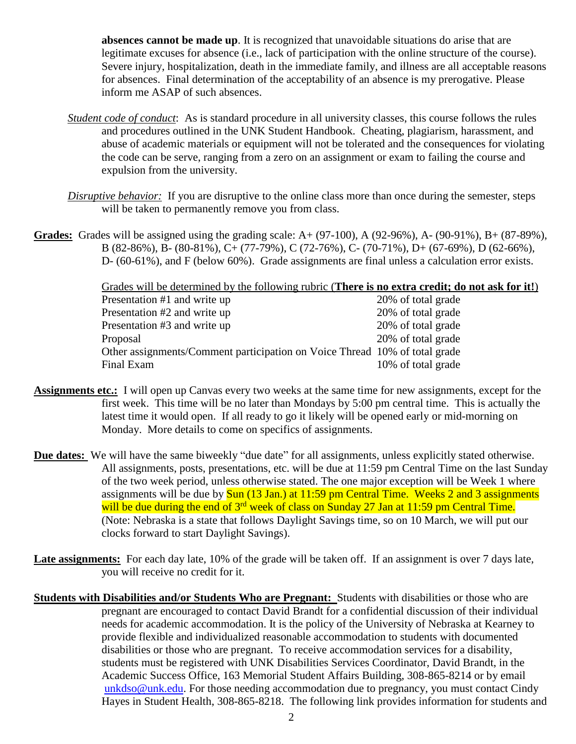**absences cannot be made up**. It is recognized that unavoidable situations do arise that are legitimate excuses for absence (i.e., lack of participation with the online structure of the course). Severe injury, hospitalization, death in the immediate family, and illness are all acceptable reasons for absences. Final determination of the acceptability of an absence is my prerogative. Please inform me ASAP of such absences.

- *Student code of conduct*: As is standard procedure in all university classes, this course follows the rules and procedures outlined in the UNK Student Handbook. Cheating, plagiarism, harassment, and abuse of academic materials or equipment will not be tolerated and the consequences for violating the code can be serve, ranging from a zero on an assignment or exam to failing the course and expulsion from the university.
- *Disruptive behavior:* If you are disruptive to the online class more than once during the semester, steps will be taken to permanently remove you from class.
- **Grades:** Grades will be assigned using the grading scale: A+ (97-100), A (92-96%), A- (90-91%), B+ (87-89%), B (82-86%), B- (80-81%), C+ (77-79%), C (72-76%), C- (70-71%), D+ (67-69%), D (62-66%), D- (60-61%), and F (below 60%). Grade assignments are final unless a calculation error exists.

Grades will be determined by the following rubric (**There is no extra credit; do not ask for it!**)

| Presentation #1 and write up                                               | 20% of total grade |
|----------------------------------------------------------------------------|--------------------|
| Presentation #2 and write up                                               | 20% of total grade |
| Presentation #3 and write up                                               | 20% of total grade |
| Proposal                                                                   | 20% of total grade |
| Other assignments/Comment participation on Voice Thread 10% of total grade |                    |
| Final Exam                                                                 | 10% of total grade |

- **Assignments etc.:** I will open up Canvas every two weeks at the same time for new assignments, except for the first week. This time will be no later than Mondays by 5:00 pm central time. This is actually the latest time it would open. If all ready to go it likely will be opened early or mid-morning on Monday. More details to come on specifics of assignments.
- **Due dates:** We will have the same biweekly "due date" for all assignments, unless explicitly stated otherwise. All assignments, posts, presentations, etc. will be due at 11:59 pm Central Time on the last Sunday of the two week period, unless otherwise stated. The one major exception will be Week 1 where assignments will be due by  $\frac{\text{Sun}}{\text{13 Jan.}}$  at 11:59 pm Central Time. Weeks 2 and 3 assignments will be due during the end of 3<sup>rd</sup> week of class on Sunday 27 Jan at 11:59 pm Central Time. (Note: Nebraska is a state that follows Daylight Savings time, so on 10 March, we will put our clocks forward to start Daylight Savings).
- Late assignments: For each day late, 10% of the grade will be taken off. If an assignment is over 7 days late, you will receive no credit for it.
- **Students with Disabilities and/or Students Who are Pregnant:** Students with disabilities or those who are pregnant are encouraged to contact David Brandt for a confidential discussion of their individual needs for academic accommodation. It is the policy of the University of Nebraska at Kearney to provide flexible and individualized reasonable accommodation to students with documented disabilities or those who are pregnant. To receive accommodation services for a disability, students must be registered with UNK Disabilities Services Coordinator, David Brandt, in the Academic Success Office, 163 Memorial Student Affairs Building, 308-865-8214 or by email [unkdso@unk.edu.](mailto:unkdso@unk.edu) For those needing accommodation due to pregnancy, you must contact Cindy Hayes in Student Health, 308-865-8218. The following link provides information for students and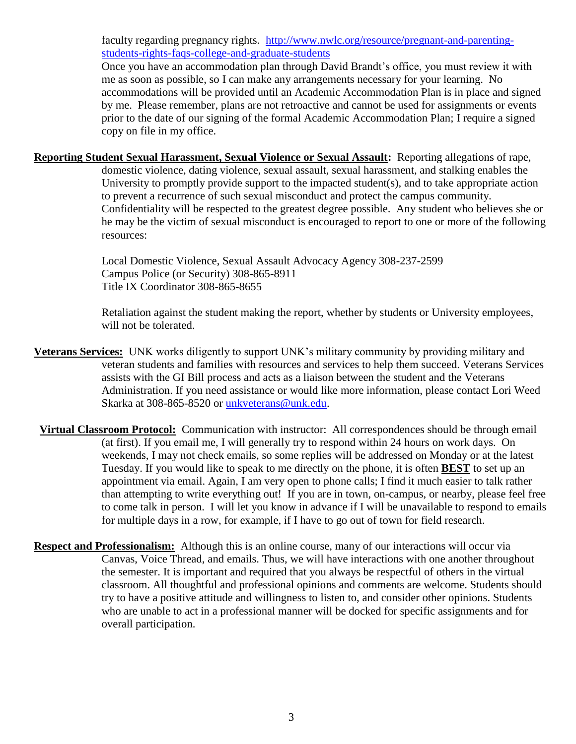faculty regarding pregnancy rights. [http://www.nwlc.org/resource/pregnant-and-parenting](http://www.nwlc.org/resource/pregnant-and-parenting-students-rights-faqs-college-and-graduate-students)[students-rights-faqs-college-and-graduate-students](http://www.nwlc.org/resource/pregnant-and-parenting-students-rights-faqs-college-and-graduate-students)

Once you have an accommodation plan through David Brandt's office, you must review it with me as soon as possible, so I can make any arrangements necessary for your learning. No accommodations will be provided until an Academic Accommodation Plan is in place and signed by me. Please remember, plans are not retroactive and cannot be used for assignments or events prior to the date of our signing of the formal Academic Accommodation Plan; I require a signed copy on file in my office.

**Reporting Student Sexual Harassment, Sexual Violence or Sexual Assault:** Reporting allegations of rape, domestic violence, dating violence, sexual assault, sexual harassment, and stalking enables the University to promptly provide support to the impacted student(s), and to take appropriate action to prevent a recurrence of such sexual misconduct and protect the campus community. Confidentiality will be respected to the greatest degree possible. Any student who believes she or he may be the victim of sexual misconduct is encouraged to report to one or more of the following resources:

> Local Domestic Violence, Sexual Assault Advocacy Agency 308-237-2599 Campus Police (or Security) 308-865-8911 Title IX Coordinator 308-865-8655

Retaliation against the student making the report, whether by students or University employees, will not be tolerated.

- **Veterans Services:** UNK works diligently to support UNK's military community by providing military and veteran students and families with resources and services to help them succeed. Veterans Services assists with the GI Bill process and acts as a liaison between the student and the Veterans Administration. If you need assistance or would like more information, please contact Lori Weed Skarka at 308-865-8520 or [unkveterans@unk.edu.](mailto:unkveterans@unk.edu)
- **Virtual Classroom Protocol:** Communication with instructor: All correspondences should be through email (at first). If you email me, I will generally try to respond within 24 hours on work days. On weekends, I may not check emails, so some replies will be addressed on Monday or at the latest Tuesday. If you would like to speak to me directly on the phone, it is often **BEST** to set up an appointment via email. Again, I am very open to phone calls; I find it much easier to talk rather than attempting to write everything out! If you are in town, on-campus, or nearby, please feel free to come talk in person. I will let you know in advance if I will be unavailable to respond to emails for multiple days in a row, for example, if I have to go out of town for field research.
- **Respect and Professionalism:** Although this is an online course, many of our interactions will occur via Canvas, Voice Thread, and emails. Thus, we will have interactions with one another throughout the semester. It is important and required that you always be respectful of others in the virtual classroom. All thoughtful and professional opinions and comments are welcome. Students should try to have a positive attitude and willingness to listen to, and consider other opinions. Students who are unable to act in a professional manner will be docked for specific assignments and for overall participation.